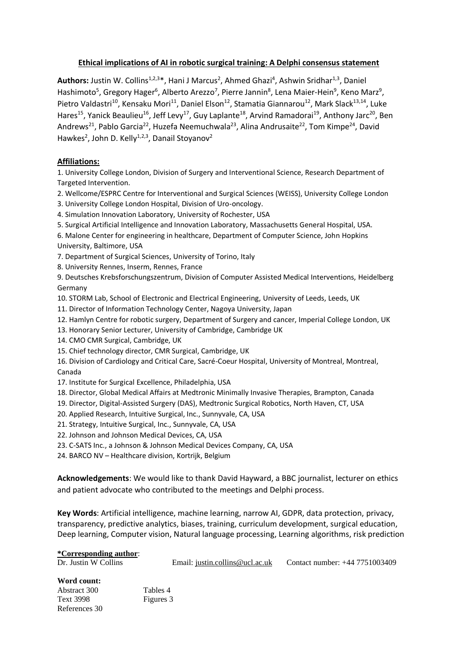## **Ethical implications of AI in robotic surgical training: A Delphi consensus statement**

Authors: Justin W. Collins<sup>1,2,3\*</sup>, Hani J Marcus<sup>2</sup>, Ahmed Ghazi<sup>4</sup>, Ashwin Sridhar<sup>1,3</sup>, Daniel Hashimoto<sup>5</sup>, Gregory Hager<sup>6</sup>, Alberto Arezzo<sup>7</sup>, Pierre Jannin<sup>8</sup>, Lena Maier-Hein<sup>9</sup>, Keno Marz<sup>9</sup>, Pietro Valdastri<sup>10</sup>, Kensaku Mori<sup>11</sup>, Daniel Elson<sup>12</sup>, Stamatia Giannarou<sup>12</sup>, Mark Slack<sup>13,14</sup>, Luke Hares<sup>15</sup>, Yanick Beaulieu<sup>16</sup>, Jeff Levy<sup>17</sup>, Guy Laplante<sup>18</sup>, Arvind Ramadorai<sup>19</sup>, Anthony Jarc<sup>20</sup>, Ben Andrews<sup>21</sup>, Pablo Garcia<sup>22</sup>, Huzefa Neemuchwala<sup>23</sup>, Alina Andrusaite<sup>22</sup>, Tom Kimpe<sup>24</sup>, David Hawkes<sup>2</sup>, John D. Kelly<sup>1,2,3</sup>, Danail Stoyanov<sup>2</sup>

### **Affiliations:**

1. University College London, Division of Surgery and Interventional Science, Research Department of Targeted Intervention.

2. Wellcome/ESPRC Centre for Interventional and Surgical Sciences (WEISS), University College London

3. University College London Hospital, Division of Uro-oncology.

4. Simulation Innovation Laboratory, University of Rochester, USA

5. Surgical Artificial Intelligence and Innovation Laboratory, Massachusetts General Hospital, USA.

6. Malone Center for engineering in healthcare, Department of Computer Science, John Hopkins University, Baltimore, USA

7. Department of Surgical Sciences, University of Torino, Italy

8. University Rennes, Inserm, Rennes, France

9. Deutsches Krebsforschungszentrum, Division of Computer Assisted Medical Interventions, Heidelberg Germany

10. STORM Lab, School of Electronic and Electrical Engineering, University of Leeds, Leeds, UK

11. Director of Information Technology Center, Nagoya University, Japan

- 12. Hamlyn Centre for robotic surgery, Department of Surgery and cancer, Imperial College London, UK
- 13. Honorary Senior Lecturer, University of Cambridge, Cambridge UK

14. CMO CMR Surgical, Cambridge, UK

15. Chief technology director, CMR Surgical, Cambridge, UK

16. Division of Cardiology and Critical Care, Sacré-Coeur Hospital, University of Montreal, Montreal, Canada

17. Institute for Surgical Excellence, Philadelphia, USA

18. Director, Global Medical Affairs at Medtronic Minimally Invasive Therapies, Brampton, Canada

19. Director, Digital-Assisted Surgery (DAS), Medtronic Surgical Robotics, North Haven, CT, USA

20. Applied Research, Intuitive Surgical, Inc., Sunnyvale, CA, USA

21. Strategy, Intuitive Surgical, Inc., Sunnyvale, CA, USA

22. Johnson and Johnson Medical Devices, CA, USA

23. C-SATS Inc., a Johnson & Johnson Medical Devices Company, CA, USA

24. BARCO NV – Healthcare division, Kortrijk, Belgium

**Acknowledgements**: We would like to thank David Hayward, a BBC journalist, lecturer on ethics and patient advocate who contributed to the meetings and Delphi process.

**Key Words**: Artificial intelligence, machine learning, narrow AI, GDPR, data protection, privacy, transparency, predictive analytics, biases, training, curriculum development, surgical education, Deep learning, Computer vision, Natural language processing, Learning algorithms, risk prediction

#### **\*Corresponding author**:

| Dr. Justin W Collins | Email: justin.collins@ucl.ac.uk | Contact number: +44 7751003409 |
|----------------------|---------------------------------|--------------------------------|
| Word count:          |                                 |                                |

Abstract 300 Tables 4 Text 3998 Figures 3 References 30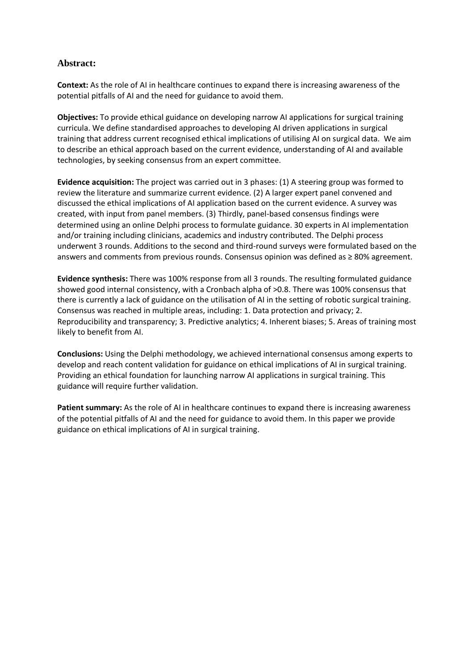## **Abstract:**

**Context:** As the role of AI in healthcare continues to expand there is increasing awareness of the potential pitfalls of AI and the need for guidance to avoid them.

**Objectives:** To provide ethical guidance on developing narrow AI applications for surgical training curricula. We define standardised approaches to developing AI driven applications in surgical training that address current recognised ethical implications of utilising AI on surgical data. We aim to describe an ethical approach based on the current evidence, understanding of AI and available technologies, by seeking consensus from an expert committee.

**Evidence acquisition:** The project was carried out in 3 phases: (1) A steering group was formed to review the literature and summarize current evidence. (2) A larger expert panel convened and discussed the ethical implications of AI application based on the current evidence. A survey was created, with input from panel members. (3) Thirdly, panel-based consensus findings were determined using an online Delphi process to formulate guidance. 30 experts in AI implementation and/or training including clinicians, academics and industry contributed. The Delphi process underwent 3 rounds. Additions to the second and third-round surveys were formulated based on the answers and comments from previous rounds. Consensus opinion was defined as ≥ 80% agreement.

**Evidence synthesis:** There was 100% response from all 3 rounds. The resulting formulated guidance showed good internal consistency, with a Cronbach alpha of >0.8. There was 100% consensus that there is currently a lack of guidance on the utilisation of AI in the setting of robotic surgical training. Consensus was reached in multiple areas, including: 1. Data protection and privacy; 2. Reproducibility and transparency; 3. Predictive analytics; 4. Inherent biases; 5. Areas of training most likely to benefit from AI.

**Conclusions:** Using the Delphi methodology, we achieved international consensus among experts to develop and reach content validation for guidance on ethical implications of AI in surgical training. Providing an ethical foundation for launching narrow AI applications in surgical training. This guidance will require further validation.

**Patient summary:** As the role of AI in healthcare continues to expand there is increasing awareness of the potential pitfalls of AI and the need for guidance to avoid them. In this paper we provide guidance on ethical implications of AI in surgical training.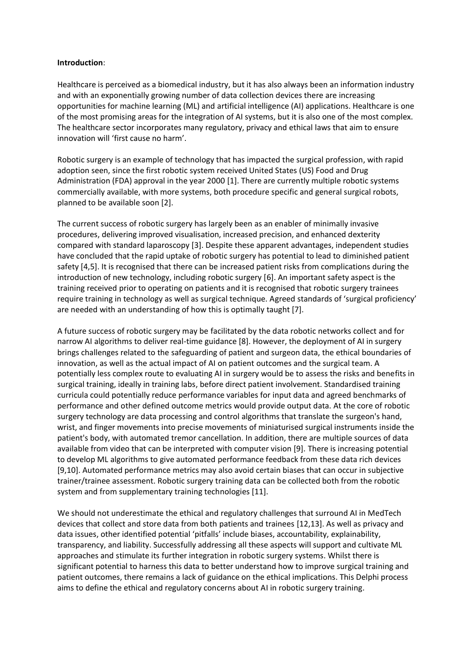#### **Introduction**:

Healthcare is perceived as a biomedical industry, but it has also always been an information industry and with an exponentially growing number of data collection devices there are increasing opportunities for machine learning (ML) and artificial intelligence (AI) applications. Healthcare is one of the most promising areas for the integration of AI systems, but it is also one of the most complex. The healthcare sector incorporates many regulatory, privacy and ethical laws that aim to ensure innovation will 'first cause no harm'.

Robotic surgery is an example of technology that has impacted the surgical profession, with rapid adoption seen, since the first robotic system received United States (US) Food and Drug Administration (FDA) approval in the year 2000 [1]. There are currently multiple robotic systems commercially available, with more systems, both procedure specific and general surgical robots, planned to be available soon [2].

The current success of robotic surgery has largely been as an enabler of minimally invasive procedures, delivering improved visualisation, increased precision, and enhanced dexterity compared with standard laparoscopy [3]. Despite these apparent advantages, independent studies have concluded that the rapid uptake of robotic surgery has potential to lead to diminished patient safety [4,5]. It is recognised that there can be increased patient risks from complications during the introduction of new technology, including robotic surgery [6]. An important safety aspect is the training received prior to operating on patients and it is recognised that robotic surgery trainees require training in technology as well as surgical technique. Agreed standards of 'surgical proficiency' are needed with an understanding of how this is optimally taught [7].

A future success of robotic surgery may be facilitated by the data robotic networks collect and for narrow AI algorithms to deliver real-time guidance [8]. However, the deployment of AI in surgery brings challenges related to the safeguarding of patient and surgeon data, the ethical boundaries of innovation, as well as the actual impact of AI on patient outcomes and the surgical team. A potentially less complex route to evaluating AI in surgery would be to assess the risks and benefits in surgical training, ideally in training labs, before direct patient involvement. Standardised training curricula could potentially reduce performance variables for input data and agreed benchmarks of performance and other defined outcome metrics would provide output data. At the core of robotic surgery technology are data processing and control algorithms that translate the surgeon's hand, wrist, and finger movements into precise movements of miniaturised surgical instruments inside the patient's body, with automated tremor cancellation. In addition, there are multiple sources of data available from video that can be interpreted with computer vision [9]. There is increasing potential to develop ML algorithms to give automated performance feedback from these data rich devices [9,10]. Automated performance metrics may also avoid certain biases that can occur in subjective trainer/trainee assessment. Robotic surgery training data can be collected both from the robotic system and from supplementary training technologies [11].

We should not underestimate the ethical and regulatory challenges that surround AI in MedTech devices that collect and store data from both patients and trainees [12,13]. As well as privacy and data issues, other identified potential 'pitfalls' include biases, accountability, explainability, transparency, and liability. Successfully addressing all these aspects will support and cultivate ML approaches and stimulate its further integration in robotic surgery systems. Whilst there is significant potential to harness this data to better understand how to improve surgical training and patient outcomes, there remains a lack of guidance on the ethical implications. This Delphi process aims to define the ethical and regulatory concerns about AI in robotic surgery training.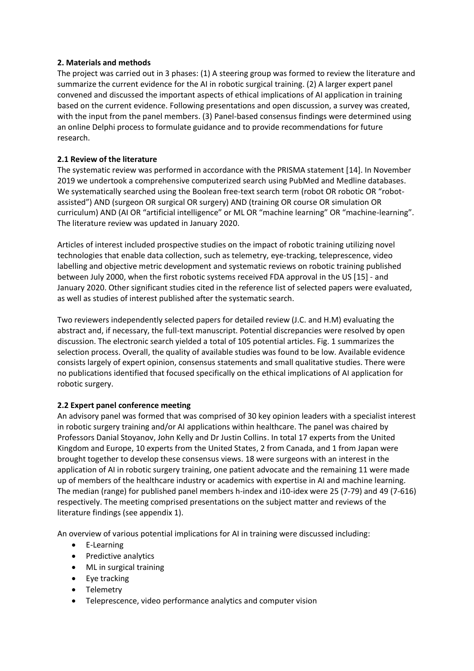## **2. Materials and methods**

The project was carried out in 3 phases: (1) A steering group was formed to review the literature and summarize the current evidence for the AI in robotic surgical training. (2) A larger expert panel convened and discussed the important aspects of ethical implications of AI application in training based on the current evidence. Following presentations and open discussion, a survey was created, with the input from the panel members. (3) Panel-based consensus findings were determined using an online Delphi process to formulate guidance and to provide recommendations for future research.

## **2.1 Review of the literature**

The systematic review was performed in accordance with the PRISMA statement [14]. In November 2019 we undertook a comprehensive computerized search using PubMed and Medline databases. We systematically searched using the Boolean free-text search term (robot OR robotic OR "robotassisted") AND (surgeon OR surgical OR surgery) AND (training OR course OR simulation OR curriculum) AND (AI OR "artificial intelligence" or ML OR "machine learning" OR "machine-learning". The literature review was updated in January 2020.

Articles of interest included prospective studies on the impact of robotic training utilizing novel technologies that enable data collection, such as telemetry, eye-tracking, teleprescence, video labelling and objective metric development and systematic reviews on robotic training published between July 2000, when the first robotic systems received FDA approval in the US [15] - and January 2020. Other significant studies cited in the reference list of selected papers were evaluated, as well as studies of interest published after the systematic search.

Two reviewers independently selected papers for detailed review (J.C. and H.M) evaluating the abstract and, if necessary, the full-text manuscript. Potential discrepancies were resolved by open discussion. The electronic search yielded a total of 105 potential articles. Fig. 1 summarizes the selection process. Overall, the quality of available studies was found to be low. Available evidence consists largely of expert opinion, consensus statements and small qualitative studies. There were no publications identified that focused specifically on the ethical implications of AI application for robotic surgery.

#### **2.2 Expert panel conference meeting**

An advisory panel was formed that was comprised of 30 key opinion leaders with a specialist interest in robotic surgery training and/or AI applications within healthcare. The panel was chaired by Professors Danial Stoyanov, John Kelly and Dr Justin Collins. In total 17 experts from the United Kingdom and Europe, 10 experts from the United States, 2 from Canada, and 1 from Japan were brought together to develop these consensus views. 18 were surgeons with an interest in the application of AI in robotic surgery training, one patient advocate and the remaining 11 were made up of members of the healthcare industry or academics with expertise in AI and machine learning. The median (range) for published panel members h-index and i10-idex were 25 (7-79) and 49 (7-616) respectively. The meeting comprised presentations on the subject matter and reviews of the literature findings (see appendix 1).

An overview of various potential implications for AI in training were discussed including:

- E-Learning
- Predictive analytics
- ML in surgical training
- Eye tracking
- Telemetry
- Teleprescence, video performance analytics and computer vision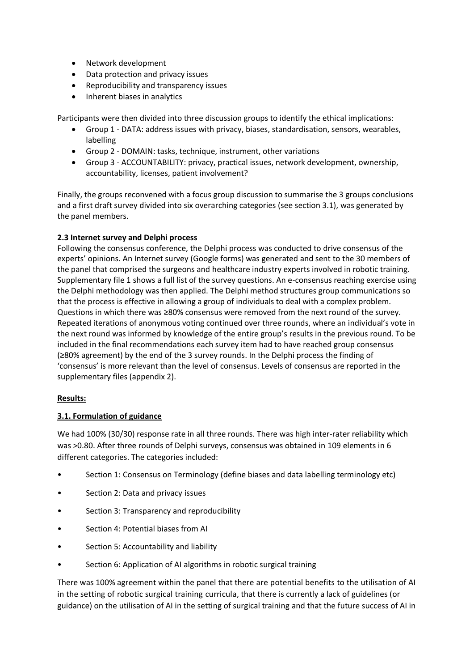- Network development
- Data protection and privacy issues
- Reproducibility and transparency issues
- Inherent biases in analytics

Participants were then divided into three discussion groups to identify the ethical implications:

- Group 1 DATA: address issues with privacy, biases, standardisation, sensors, wearables, labelling
- Group 2 DOMAIN: tasks, technique, instrument, other variations
- Group 3 ACCOUNTABILITY: privacy, practical issues, network development, ownership, accountability, licenses, patient involvement?

Finally, the groups reconvened with a focus group discussion to summarise the 3 groups conclusions and a first draft survey divided into six overarching categories (see section 3.1), was generated by the panel members.

## **2.3 Internet survey and Delphi process**

Following the consensus conference, the Delphi process was conducted to drive consensus of the experts' opinions. An Internet survey (Google forms) was generated and sent to the 30 members of the panel that comprised the surgeons and healthcare industry experts involved in robotic training. Supplementary file 1 shows a full list of the survey questions. An e-consensus reaching exercise using the Delphi methodology was then applied. The Delphi method structures group communications so that the process is effective in allowing a group of individuals to deal with a complex problem. Questions in which there was ≥80% consensus were removed from the next round of the survey. Repeated iterations of anonymous voting continued over three rounds, where an individual's vote in the next round was informed by knowledge of the entire group's results in the previous round. To be included in the final recommendations each survey item had to have reached group consensus (≥80% agreement) by the end of the 3 survey rounds. In the Delphi process the finding of 'consensus' is more relevant than the level of consensus. Levels of consensus are reported in the supplementary files (appendix 2).

## **Results:**

## **3.1. Formulation of guidance**

We had 100% (30/30) response rate in all three rounds. There was high inter-rater reliability which was >0.80. After three rounds of Delphi surveys, consensus was obtained in 109 elements in 6 different categories. The categories included:

- Section 1: Consensus on Terminology (define biases and data labelling terminology etc)
- Section 2: Data and privacy issues
- Section 3: Transparency and reproducibility
- Section 4: Potential biases from AI
- Section 5: Accountability and liability
- Section 6: Application of AI algorithms in robotic surgical training

There was 100% agreement within the panel that there are potential benefits to the utilisation of AI in the setting of robotic surgical training curricula, that there is currently a lack of guidelines (or guidance) on the utilisation of AI in the setting of surgical training and that the future success of AI in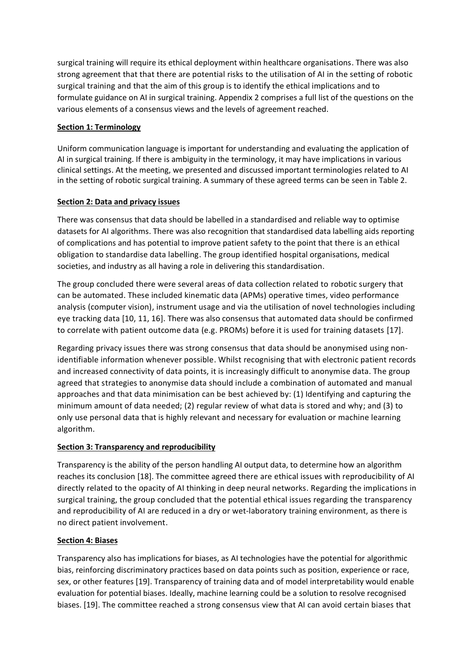surgical training will require its ethical deployment within healthcare organisations. There was also strong agreement that that there are potential risks to the utilisation of AI in the setting of robotic surgical training and that the aim of this group is to identify the ethical implications and to formulate guidance on AI in surgical training. Appendix 2 comprises a full list of the questions on the various elements of a consensus views and the levels of agreement reached.

## **Section 1: Terminology**

Uniform communication language is important for understanding and evaluating the application of AI in surgical training. If there is ambiguity in the terminology, it may have implications in various clinical settings. At the meeting, we presented and discussed important terminologies related to AI in the setting of robotic surgical training. A summary of these agreed terms can be seen in Table 2.

## **Section 2: Data and privacy issues**

There was consensus that data should be labelled in a standardised and reliable way to optimise datasets for AI algorithms. There was also recognition that standardised data labelling aids reporting of complications and has potential to improve patient safety to the point that there is an ethical obligation to standardise data labelling. The group identified hospital organisations, medical societies, and industry as all having a role in delivering this standardisation.

The group concluded there were several areas of data collection related to robotic surgery that can be automated. These included kinematic data (APMs) operative times, video performance analysis (computer vision), instrument usage and via the utilisation of novel technologies including eye tracking data [10, 11, 16]. There was also consensus that automated data should be confirmed to correlate with patient outcome data (e.g. PROMs) before it is used for training datasets [17].

Regarding privacy issues there was strong consensus that data should be anonymised using nonidentifiable information whenever possible. Whilst recognising that with electronic patient records and increased connectivity of data points, it is increasingly difficult to anonymise data. The group agreed that strategies to anonymise data should include a combination of automated and manual approaches and that data minimisation can be best achieved by: (1) Identifying and capturing the minimum amount of data needed; (2) regular review of what data is stored and why; and (3) to only use personal data that is highly relevant and necessary for evaluation or machine learning algorithm.

## **Section 3: Transparency and reproducibility**

Transparency is the ability of the person handling AI output data, to determine how an algorithm reaches its conclusion [18]. The committee agreed there are ethical issues with reproducibility of AI directly related to the opacity of AI thinking in deep neural networks. Regarding the implications in surgical training, the group concluded that the potential ethical issues regarding the transparency and reproducibility of AI are reduced in a dry or wet-laboratory training environment, as there is no direct patient involvement.

## **Section 4: Biases**

Transparency also has implications for biases, as AI technologies have the potential for algorithmic bias, reinforcing discriminatory practices based on data points such as position, experience or race, sex, or other features [19]. Transparency of training data and of model interpretability would enable evaluation for potential biases. Ideally, machine learning could be a solution to resolve recognised biases. [19]. The committee reached a strong consensus view that AI can avoid certain biases that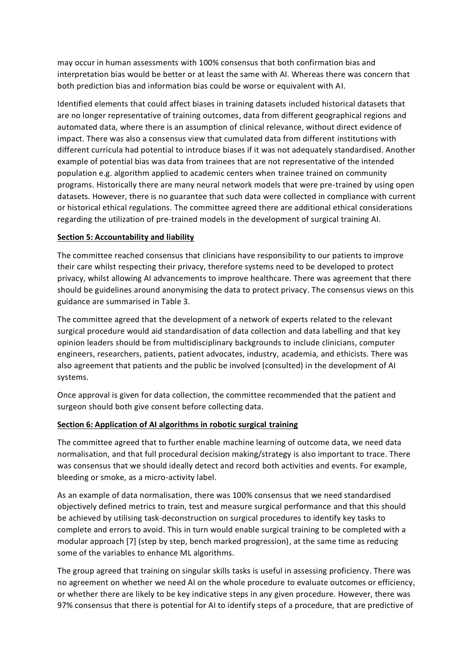may occur in human assessments with 100% consensus that both confirmation bias and interpretation bias would be better or at least the same with AI. Whereas there was concern that both prediction bias and information bias could be worse or equivalent with AI.

Identified elements that could affect biases in training datasets included historical datasets that are no longer representative of training outcomes, data from different geographical regions and automated data, where there is an assumption of clinical relevance, without direct evidence of impact. There was also a consensus view that cumulated data from different institutions with different curricula had potential to introduce biases if it was not adequately standardised. Another example of potential bias was data from trainees that are not representative of the intended population e.g. algorithm applied to academic centers when trainee trained on community programs. Historically there are many neural network models that were pre-trained by using open datasets. However, there is no guarantee that such data were collected in compliance with current or historical ethical regulations. The committee agreed there are additional ethical considerations regarding the utilization of pre-trained models in the development of surgical training AI.

### **Section 5: Accountability and liability**

The committee reached consensus that clinicians have responsibility to our patients to improve their care whilst respecting their privacy, therefore systems need to be developed to protect privacy, whilst allowing AI advancements to improve healthcare. There was agreement that there should be guidelines around anonymising the data to protect privacy. The consensus views on this guidance are summarised in Table 3.

The committee agreed that the development of a network of experts related to the relevant surgical procedure would aid standardisation of data collection and data labelling and that key opinion leaders should be from multidisciplinary backgrounds to include clinicians, computer engineers, researchers, patients, patient advocates, industry, academia, and ethicists. There was also agreement that patients and the public be involved (consulted) in the development of AI systems.

Once approval is given for data collection, the committee recommended that the patient and surgeon should both give consent before collecting data.

#### **Section 6: Application of AI algorithms in robotic surgical training**

The committee agreed that to further enable machine learning of outcome data, we need data normalisation, and that full procedural decision making/strategy is also important to trace. There was consensus that we should ideally detect and record both activities and events. For example, bleeding or smoke, as a micro-activity label.

As an example of data normalisation, there was 100% consensus that we need standardised objectively defined metrics to train, test and measure surgical performance and that this should be achieved by utilising task-deconstruction on surgical procedures to identify key tasks to complete and errors to avoid. This in turn would enable surgical training to be completed with a modular approach [7] (step by step, bench marked progression), at the same time as reducing some of the variables to enhance ML algorithms.

The group agreed that training on singular skills tasks is useful in assessing proficiency. There was no agreement on whether we need AI on the whole procedure to evaluate outcomes or efficiency, or whether there are likely to be key indicative steps in any given procedure. However, there was 97% consensus that there is potential for AI to identify steps of a procedure, that are predictive of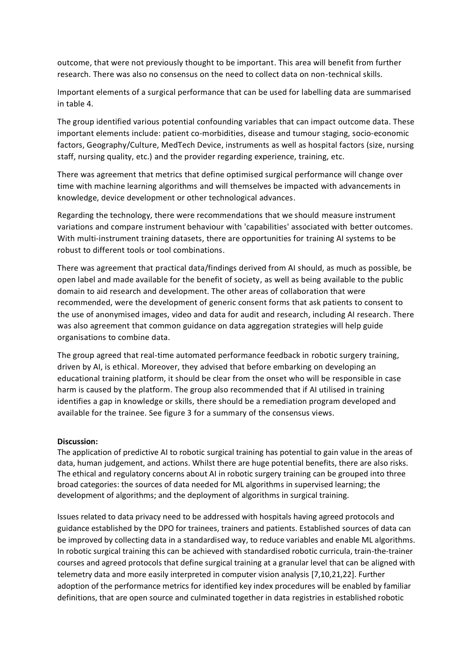outcome, that were not previously thought to be important. This area will benefit from further research. There was also no consensus on the need to collect data on non-technical skills.

Important elements of a surgical performance that can be used for labelling data are summarised in table 4.

The group identified various potential confounding variables that can impact outcome data. These important elements include: patient co-morbidities, disease and tumour staging, socio-economic factors, Geography/Culture, MedTech Device, instruments as well as hospital factors (size, nursing staff, nursing quality, etc.) and the provider regarding experience, training, etc.

There was agreement that metrics that define optimised surgical performance will change over time with machine learning algorithms and will themselves be impacted with advancements in knowledge, device development or other technological advances.

Regarding the technology, there were recommendations that we should measure instrument variations and compare instrument behaviour with 'capabilities' associated with better outcomes. With multi-instrument training datasets, there are opportunities for training AI systems to be robust to different tools or tool combinations.

There was agreement that practical data/findings derived from AI should, as much as possible, be open label and made available for the benefit of society, as well as being available to the public domain to aid research and development. The other areas of collaboration that were recommended, were the development of generic consent forms that ask patients to consent to the use of anonymised images, video and data for audit and research, including AI research. There was also agreement that common guidance on data aggregation strategies will help guide organisations to combine data.

The group agreed that real-time automated performance feedback in robotic surgery training, driven by AI, is ethical. Moreover, they advised that before embarking on developing an educational training platform, it should be clear from the onset who will be responsible in case harm is caused by the platform. The group also recommended that if AI utilised in training identifies a gap in knowledge or skills, there should be a remediation program developed and available for the trainee. See figure 3 for a summary of the consensus views.

#### **Discussion:**

The application of predictive AI to robotic surgical training has potential to gain value in the areas of data, human judgement, and actions. Whilst there are huge potential benefits, there are also risks. The ethical and regulatory concerns about AI in robotic surgery training can be grouped into three broad categories: the sources of data needed for ML algorithms in supervised learning; the development of algorithms; and the deployment of algorithms in surgical training.

Issues related to data privacy need to be addressed with hospitals having agreed protocols and guidance established by the DPO for trainees, trainers and patients. Established sources of data can be improved by collecting data in a standardised way, to reduce variables and enable ML algorithms. In robotic surgical training this can be achieved with standardised robotic curricula, train-the-trainer courses and agreed protocols that define surgical training at a granular level that can be aligned with telemetry data and more easily interpreted in computer vision analysis [7,10,21,22]. Further adoption of the performance metrics for identified key index procedures will be enabled by familiar definitions, that are open source and culminated together in data registries in established robotic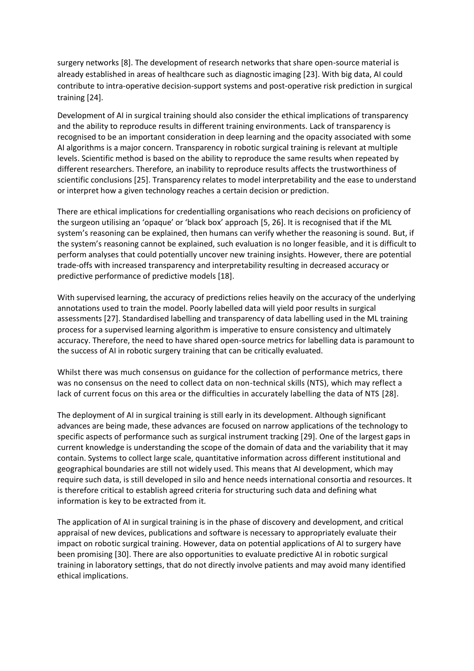surgery networks [8]. The development of research networks that share open-source material is already established in areas of healthcare such as diagnostic imaging [23]. With big data, AI could contribute to intra-operative decision-support systems and post-operative risk prediction in surgical training [24].

Development of AI in surgical training should also consider the ethical implications of transparency and the ability to reproduce results in different training environments. Lack of transparency is recognised to be an important consideration in deep learning and the opacity associated with some AI algorithms is a major concern. Transparency in robotic surgical training is relevant at multiple levels. Scientific method is based on the ability to reproduce the same results when repeated by different researchers. Therefore, an inability to reproduce results affects the trustworthiness of scientific conclusions [25]. Transparency relates to model interpretability and the ease to understand or interpret how a given technology reaches a certain decision or prediction.

There are ethical implications for credentialling organisations who reach decisions on proficiency of the surgeon utilising an 'opaque' or 'black box' approach [5, 26]. It is recognised that if the ML system's reasoning can be explained, then humans can verify whether the reasoning is sound. But, if the system's reasoning cannot be explained, such evaluation is no longer feasible, and it is difficult to perform analyses that could potentially uncover new training insights. However, there are potential trade-offs with increased transparency and interpretability resulting in decreased accuracy or predictive performance of predictive models [18].

With supervised learning, the accuracy of predictions relies heavily on the accuracy of the underlying annotations used to train the model. Poorly labelled data will yield poor results in surgical assessments [27]. Standardised labelling and transparency of data labelling used in the ML training process for a supervised learning algorithm is imperative to ensure consistency and ultimately accuracy. Therefore, the need to have shared open-source metrics for labelling data is paramount to the success of AI in robotic surgery training that can be critically evaluated.

Whilst there was much consensus on guidance for the collection of performance metrics, there was no consensus on the need to collect data on non-technical skills (NTS), which may reflect a lack of current focus on this area or the difficulties in accurately labelling the data of NTS [28].

The deployment of AI in surgical training is still early in its development. Although significant advances are being made, these advances are focused on narrow applications of the technology to specific aspects of performance such as surgical instrument tracking [29]. One of the largest gaps in current knowledge is understanding the scope of the domain of data and the variability that it may contain. Systems to collect large scale, quantitative information across different institutional and geographical boundaries are still not widely used. This means that AI development, which may require such data, is still developed in silo and hence needs international consortia and resources. It is therefore critical to establish agreed criteria for structuring such data and defining what information is key to be extracted from it.

The application of AI in surgical training is in the phase of discovery and development, and critical appraisal of new devices, publications and software is necessary to appropriately evaluate their impact on robotic surgical training. However, data on potential applications of AI to surgery have been promising [30]. There are also opportunities to evaluate predictive AI in robotic surgical training in laboratory settings, that do not directly involve patients and may avoid many identified ethical implications.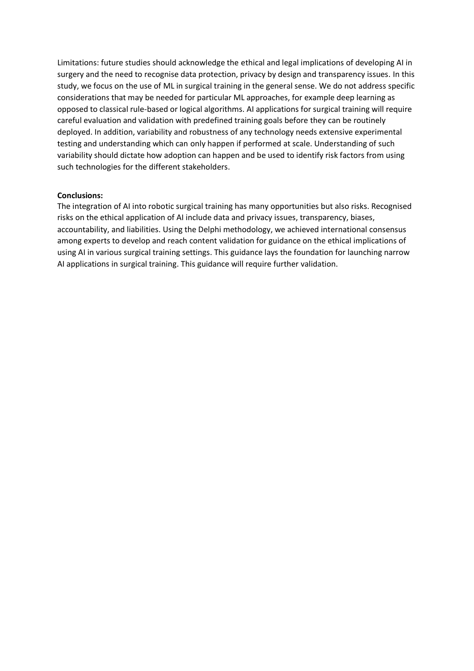Limitations: future studies should acknowledge the ethical and legal implications of developing AI in surgery and the need to recognise data protection, privacy by design and transparency issues. In this study, we focus on the use of ML in surgical training in the general sense. We do not address specific considerations that may be needed for particular ML approaches, for example deep learning as opposed to classical rule-based or logical algorithms. AI applications for surgical training will require careful evaluation and validation with predefined training goals before they can be routinely deployed. In addition, variability and robustness of any technology needs extensive experimental testing and understanding which can only happen if performed at scale. Understanding of such variability should dictate how adoption can happen and be used to identify risk factors from using such technologies for the different stakeholders.

#### **Conclusions:**

The integration of AI into robotic surgical training has many opportunities but also risks. Recognised risks on the ethical application of AI include data and privacy issues, transparency, biases, accountability, and liabilities. Using the Delphi methodology, we achieved international consensus among experts to develop and reach content validation for guidance on the ethical implications of using AI in various surgical training settings. This guidance lays the foundation for launching narrow AI applications in surgical training. This guidance will require further validation.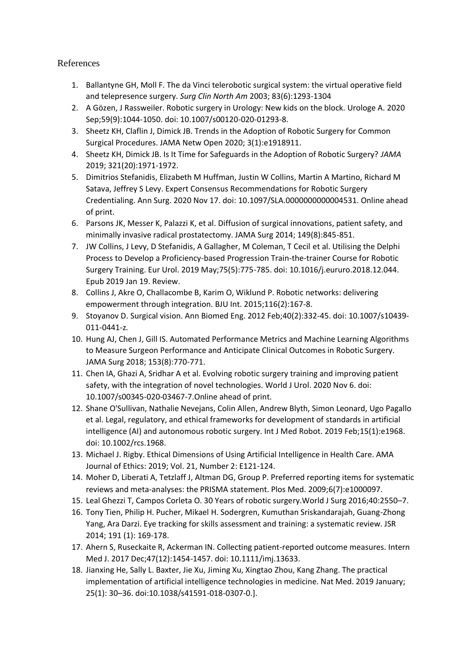## References

- 1. Ballantyne GH, Moll F. The da Vinci telerobotic surgical system: the virtual operative field and telepresence surgery. *Surg Clin North Am* 2003; 83(6):1293-1304
- 2. A Gözen, J Rassweiler. Robotic surgery in Urology: New kids on the block. Urologe A. 2020 Sep;59(9):1044-1050. doi: 10.1007/s00120-020-01293-8.
- 3. Sheetz KH, Claflin J, Dimick JB. Trends in the Adoption of Robotic Surgery for Common Surgical Procedures. JAMA Netw Open 2020; 3(1):e1918911.
- 4. Sheetz KH, Dimick JB. Is It Time for Safeguards in the Adoption of Robotic Surgery? *JAMA*  2019; 321(20):1971-1972.
- 5. Dimitrios Stefanidis, Elizabeth M Huffman, Justin W Collins, Martin A Martino, Richard M Satava, Jeffrey S Levy. Expert Consensus Recommendations for Robotic Surgery Credentialing. Ann Surg. 2020 Nov 17. doi: 10.1097/SLA.0000000000004531. Online ahead of print.
- 6. Parsons JK, Messer K, Palazzi K, et al. Diffusion of surgical innovations, patient safety, and minimally invasive radical prostatectomy. JAMA Surg 2014; 149(8):845-851.
- 7. JW Collins, J Levy, D Stefanidis, A Gallagher, M Coleman, T Cecil et al. Utilising the Delphi Process to Develop a Proficiency-based Progression Train-the-trainer Course for Robotic Surgery Training. Eur Urol. 2019 May;75(5):775-785. doi: 10.1016/j.eururo.2018.12.044. Epub 2019 Jan 19. Review.
- 8. Collins J, Akre O, Challacombe B, Karim O, Wiklund P. Robotic networks: delivering empowerment through integration. BJU Int. 2015;116(2):167-8.
- 9. Stoyanov D. Surgical vision. Ann Biomed Eng. 2012 Feb;40(2):332-45. doi: 10.1007/s10439- 011-0441-z.
- 10. Hung AJ, Chen J, Gill IS. Automated Performance Metrics and Machine Learning Algorithms to Measure Surgeon Performance and Anticipate Clinical Outcomes in Robotic Surgery. JAMA Surg 2018; 153(8):770-771.
- 11. Chen IA, Ghazi A, Sridhar A et al. Evolving robotic surgery training and improving patient safety, with the integration of novel technologies. World J Urol. 2020 Nov 6. doi: 10.1007/s00345-020-03467-7.Online ahead of print.
- 12. Shane O'Sullivan, Nathalie Nevejans, Colin Allen, Andrew Blyth, Simon Leonard, Ugo Pagallo et al. Legal, regulatory, and ethical frameworks for development of standards in artificial intelligence (AI) and autonomous robotic surgery. Int J Med Robot. 2019 Feb;15(1):e1968. doi: 10.1002/rcs.1968.
- 13. Michael J. Rigby. Ethical Dimensions of Using Artificial Intelligence in Health Care. AMA Journal of Ethics: 2019; Vol. 21, Number 2: E121-124.
- 14. Moher D, Liberati A, Tetzlaff J, Altman DG, Group P. Preferred reporting items for systematic reviews and meta-analyses: the PRISMA statement. Plos Med. 2009;6(7):e1000097.
- 15. Leal Ghezzi T, Campos Corleta O. 30 Years of robotic surgery.World J Surg 2016;40:2550–7.
- 16. Tony Tien, Philip H. Pucher, Mikael H. Sodergren, Kumuthan Sriskandarajah, Guang-Zhong Yang, Ara Darzi. Eye tracking for skills assessment and training: a systematic review. JSR 2014; 191 (1): 169-178.
- 17. Ahern S, Ruseckaite R, Ackerman IN. Collecting patient-reported outcome measures. Intern Med J. 2017 Dec;47(12):1454-1457. doi: 10.1111/imj.13633.
- 18. Jianxing He, Sally L. Baxter, Jie Xu, Jiming Xu, Xingtao Zhou, Kang Zhang. The practical implementation of artificial intelligence technologies in medicine. Nat Med. 2019 January; 25(1): 30–36. doi:10.1038/s41591-018-0307-0.].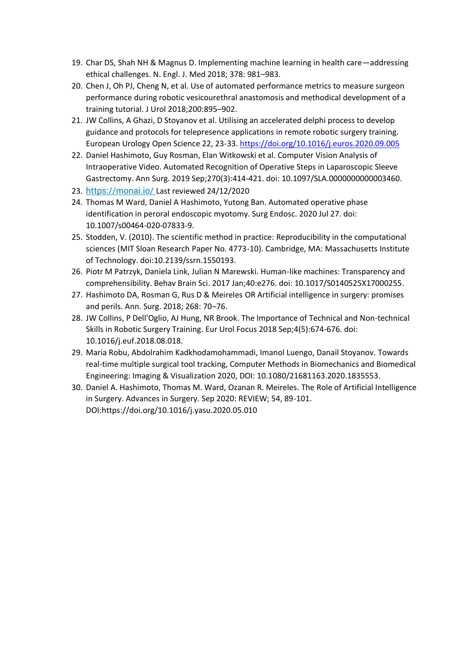- 19. Char DS, Shah NH & Magnus D. Implementing machine learning in health care—addressing ethical challenges. N. Engl. J. Med 2018; 378: 981–983.
- 20. Chen J, Oh PJ, Cheng N, et al. Use of automated performance metrics to measure surgeon performance during robotic vesicourethral anastomosis and methodical development of a training tutorial. J Urol 2018;200:895–902.
- 21. JW Collins, A Ghazi, D Stoyanov et al. Utilising an accelerated delphi process to develop guidance and protocols for telepresence applications in remote robotic surgery training. European Urology Open Science 22, 23-33[. https://doi.org/10.1016/j.euros.2020.09.005](https://doi.org/10.1016/j.euros.2020.09.005)
- 22. Daniel Hashimoto, Guy Rosman, Elan Witkowski et al. Computer Vision Analysis of Intraoperative Video. Automated Recognition of Operative Steps in Laparoscopic Sleeve Gastrectomy. Ann Surg. 2019 Sep;270(3):414-421. doi: 10.1097/SLA.0000000000003460.
- 23. <https://monai.io/> Last reviewed 24/12/2020
- 24. Thomas M Ward, Daniel A Hashimoto, Yutong Ban. Automated operative phase identification in peroral endoscopic myotomy. Surg Endosc. 2020 Jul 27. doi: 10.1007/s00464-020-07833-9.
- 25. Stodden, V. (2010). The scientific method in practice: Reproducibility in the computational sciences (MIT Sloan Research Paper No. 4773-10). Cambridge, MA: Massachusetts Institute of Technology. doi:10.2139/ssrn.1550193.
- 26. Piotr M Patrzyk, Daniela Link, Julian N Marewski. Human-like machines: Transparency and comprehensibility. Behav Brain Sci. 2017 Jan;40:e276. doi: 10.1017/S0140525X17000255.
- 27. Hashimoto DA, Rosman G, Rus D & Meireles OR Artificial intelligence in surgery: promises and perils. Ann. Surg. 2018; 268: 70–76.
- 28. JW Collins, P Dell'Oglio, AJ Hung, NR Brook. The Importance of Technical and Non-technical Skills in Robotic Surgery Training. Eur Urol Focus 2018 Sep;4(5):674-676. doi: 10.1016/j.euf.2018.08.018.
- 29. Maria Robu, Abdolrahim Kadkhodamohammadi, Imanol Luengo, Danail Stoyanov. Towards real-time multiple surgical tool tracking, Computer Methods in Biomechanics and Biomedical Engineering: Imaging & Visualization 2020, DOI: 10.1080/21681163.2020.1835553.
- 30. Daniel A. Hashimoto, Thomas M. Ward, Ozanan R. Meireles. The Role of Artificial Intelligence in Surgery. Advances in Surgery. Sep 2020: REVIEW; 54, 89-101. DOI:https://doi.org/10.1016/j.yasu.2020.05.010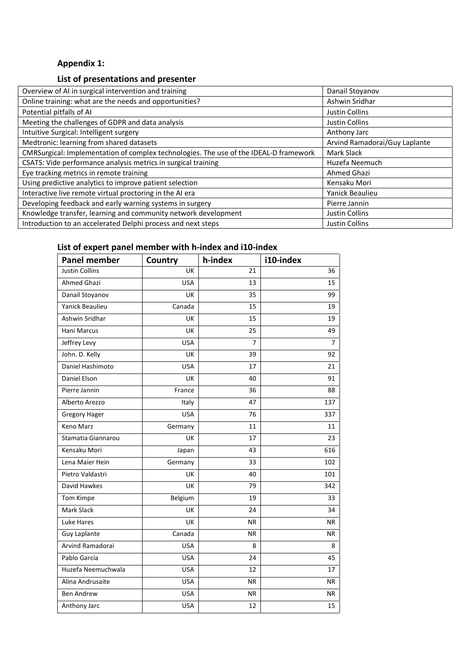# **Appendix 1:**

## **List of presentations and presenter**

| Overview of AI in surgical intervention and training                                  | Danail Stoyanov               |
|---------------------------------------------------------------------------------------|-------------------------------|
| Online training: what are the needs and opportunities?                                | Ashwin Sridhar                |
| Potential pitfalls of AI                                                              | Justin Collins                |
| Meeting the challenges of GDPR and data analysis                                      | <b>Justin Collins</b>         |
| Intuitive Surgical: Intelligent surgery                                               | Anthony Jarc                  |
| Medtronic: learning from shared datasets                                              | Arvind Ramadorai/Guy Laplante |
| CMRSurgical: Implementation of complex technologies. The use of the IDEAL-D framework | Mark Slack                    |
| CSATS: Vide performance analysis metrics in surgical training                         | Huzefa Neemuch                |
| Eye tracking metrics in remote training                                               | Ahmed Ghazi                   |
| Using predictive analytics to improve patient selection                               | Kensaku Mori                  |
| Interactive live remote virtual proctoring in the AI era                              | Yanick Beaulieu               |
| Developing feedback and early warning systems in surgery                              | Pierre Jannin                 |
| Knowledge transfer, learning and community network development                        | Justin Collins                |
| Introduction to an accelerated Delphi process and next steps                          | <b>Justin Collins</b>         |

# **List of expert panel member with h-index and i10-index**

| <b>Panel member</b>   | Country    | h-index   | i10-index |
|-----------------------|------------|-----------|-----------|
| <b>Justin Collins</b> | UK         | 21        | 36        |
| Ahmed Ghazi           | <b>USA</b> | 13        | 15        |
| Danail Stoyanov       | UK         | 35        | 99        |
| Yanick Beaulieu       | Canada     | 15        | 19        |
| Ashwin Sridhar        | UK         | 15        | 19        |
| Hani Marcus           | UK         | 25        | 49        |
| Jeffrey Levy          | <b>USA</b> | 7         | 7         |
| John. D. Kelly        | UK         | 39        | 92        |
| Daniel Hashimoto      | <b>USA</b> | 17        | 21        |
| Daniel Elson          | UK         | 40        | 91        |
| Pierre Jannin         | France     | 36        | 88        |
| Alberto Arezzo        | Italy      | 47        | 137       |
| <b>Gregory Hager</b>  | <b>USA</b> | 76        | 337       |
| <b>Keno Marz</b>      | Germany    | 11        | 11        |
| Stamatia Giannarou    | UK         | 17        | 23        |
| Kensaku Mori          | Japan      | 43        | 616       |
| Lena Maier Hein       | Germany    | 33        | 102       |
| Pietro Valdastri      | UK         | 40        | 101       |
| David Hawkes          | UK         | 79        | 342       |
| Tom Kimpe             | Belgium    | 19        | 33        |
| <b>Mark Slack</b>     | UK         | 24        | 34        |
| Luke Hares            | UK         | <b>NR</b> | <b>NR</b> |
| <b>Guy Laplante</b>   | Canada     | <b>NR</b> | ΝR        |
| Arvind Ramadorai      | <b>USA</b> | 8         | 8         |
| Pablo Garcia          | <b>USA</b> | 24        | 45        |
| Huzefa Neemuchwala    | <b>USA</b> | 12        | 17        |
| Alina Andrusaite      | <b>USA</b> | <b>NR</b> | <b>NR</b> |
| <b>Ben Andrew</b>     | <b>USA</b> | <b>NR</b> | <b>NR</b> |
| Anthony Jarc          | <b>USA</b> | 12        | 15        |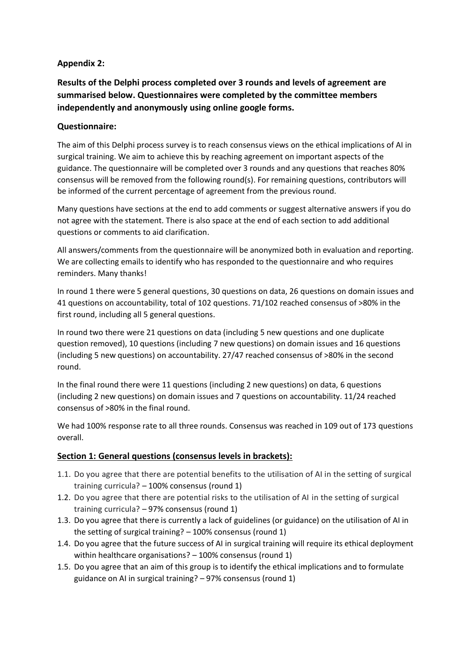## **Appendix 2:**

**Results of the Delphi process completed over 3 rounds and levels of agreement are summarised below. Questionnaires were completed by the committee members independently and anonymously using online google forms.** 

## **Questionnaire:**

The aim of this Delphi process survey is to reach consensus views on the ethical implications of AI in surgical training. We aim to achieve this by reaching agreement on important aspects of the guidance. The questionnaire will be completed over 3 rounds and any questions that reaches 80% consensus will be removed from the following round(s). For remaining questions, contributors will be informed of the current percentage of agreement from the previous round.

Many questions have sections at the end to add comments or suggest alternative answers if you do not agree with the statement. There is also space at the end of each section to add additional questions or comments to aid clarification.

All answers/comments from the questionnaire will be anonymized both in evaluation and reporting. We are collecting emails to identify who has responded to the questionnaire and who requires reminders. Many thanks!

In round 1 there were 5 general questions, 30 questions on data, 26 questions on domain issues and 41 questions on accountability, total of 102 questions. 71/102 reached consensus of >80% in the first round, including all 5 general questions.

In round two there were 21 questions on data (including 5 new questions and one duplicate question removed), 10 questions (including 7 new questions) on domain issues and 16 questions (including 5 new questions) on accountability. 27/47 reached consensus of >80% in the second round.

In the final round there were 11 questions (including 2 new questions) on data, 6 questions (including 2 new questions) on domain issues and 7 questions on accountability. 11/24 reached consensus of >80% in the final round.

We had 100% response rate to all three rounds. Consensus was reached in 109 out of 173 questions overall.

## **Section 1: General questions (consensus levels in brackets):**

- 1.1. Do you agree that there are potential benefits to the utilisation of AI in the setting of surgical training curricula? – 100% consensus (round 1)
- 1.2. Do you agree that there are potential risks to the utilisation of AI in the setting of surgical training curricula? – 97% consensus (round 1)
- 1.3. Do you agree that there is currently a lack of guidelines (or guidance) on the utilisation of AI in the setting of surgical training? – 100% consensus (round 1)
- 1.4. Do you agree that the future success of AI in surgical training will require its ethical deployment within healthcare organisations? – 100% consensus (round 1)
- 1.5. Do you agree that an aim of this group is to identify the ethical implications and to formulate guidance on AI in surgical training? – 97% consensus (round 1)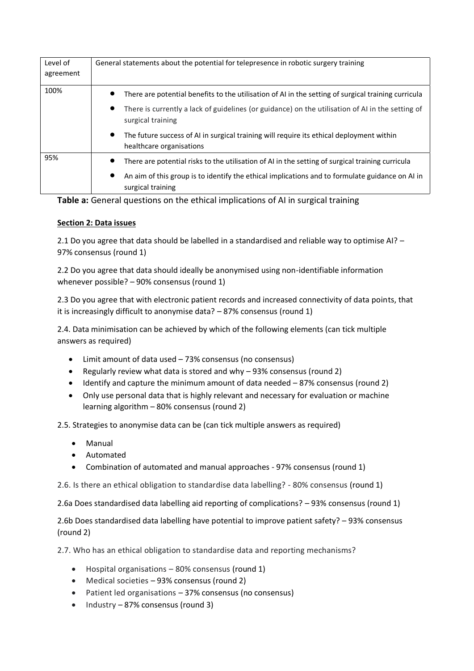| Level of<br>agreement | General statements about the potential for telepresence in robotic surgery training                                                |
|-----------------------|------------------------------------------------------------------------------------------------------------------------------------|
| 100%                  | There are potential benefits to the utilisation of AI in the setting of surgical training curricula                                |
|                       | There is currently a lack of guidelines (or guidance) on the utilisation of AI in the setting of<br>$\bullet$<br>surgical training |
|                       | The future success of AI in surgical training will require its ethical deployment within<br>$\bullet$<br>healthcare organisations  |
| 95%                   | There are potential risks to the utilisation of AI in the setting of surgical training curricula                                   |
|                       | An aim of this group is to identify the ethical implications and to formulate guidance on AI in<br>$\bullet$<br>surgical training  |

## **Table a:** General questions on the ethical implications of AI in surgical training

## **Section 2: Data issues**

2.1 Do you agree that data should be labelled in a standardised and reliable way to optimise AI? – 97% consensus (round 1)

2.2 Do you agree that data should ideally be anonymised using non-identifiable information whenever possible? – 90% consensus (round 1)

2.3 Do you agree that with electronic patient records and increased connectivity of data points, that it is increasingly difficult to anonymise data? – 87% consensus (round 1)

2.4. Data minimisation can be achieved by which of the following elements (can tick multiple answers as required)

- Limit amount of data used 73% consensus (no consensus)
- Regularly review what data is stored and why 93% consensus (round 2)
- Identify and capture the minimum amount of data needed 87% consensus (round 2)
- Only use personal data that is highly relevant and necessary for evaluation or machine learning algorithm – 80% consensus (round 2)

2.5. Strategies to anonymise data can be (can tick multiple answers as required)

- Manual
- Automated
- Combination of automated and manual approaches 97% consensus (round 1)
- 2.6. Is there an ethical obligation to standardise data labelling? 80% consensus (round 1)

2.6a Does standardised data labelling aid reporting of complications? – 93% consensus (round 1)

2.6b Does standardised data labelling have potential to improve patient safety? – 93% consensus (round 2)

2.7. Who has an ethical obligation to standardise data and reporting mechanisms?

- Hospital organisations 80% consensus (round 1)
- Medical societies 93% consensus (round 2)
- Patient led organisations 37% consensus (no consensus)
- Industry 87% consensus (round 3)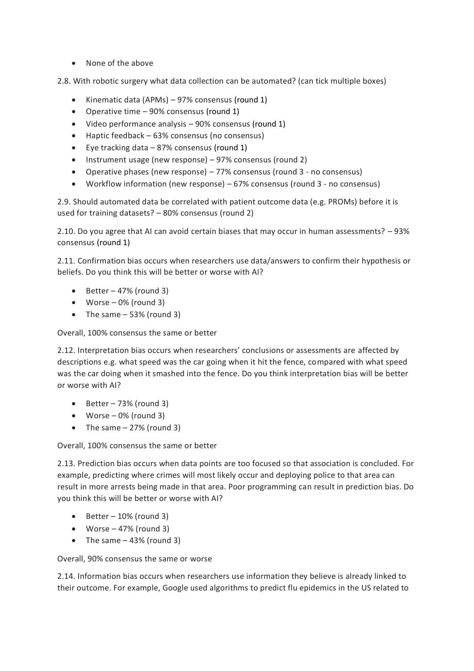• None of the above

2.8. With robotic surgery what data collection can be automated? (can tick multiple boxes)

- Kinematic data (APMs) 97% consensus (round 1)
- Operative time 90% consensus (round 1)
- Video performance analysis 90% consensus (round 1)
- Haptic feedback 63% consensus (no consensus)
- Eye tracking data 87% consensus (round 1)
- Instrument usage (new response) 97% consensus (round 2)
- Operative phases (new response) 77% consensus (round 3 no consensus)
- Workflow information (new response) 67% consensus (round 3 no consensus)

2.9. Should automated data be correlated with patient outcome data (e.g. PROMs) before it is used for training datasets? – 80% consensus (round 2)

2.10. Do you agree that AI can avoid certain biases that may occur in human assessments? – 93% consensus (round 1)

2.11. Confirmation bias occurs when researchers use data/answers to confirm their hypothesis or beliefs. Do you think this will be better or worse with AI?

- Better  $-47%$  (round 3)
- Worse  $-0\%$  (round 3)
- The same  $-53%$  (round 3)

Overall, 100% consensus the same or better

2.12. Interpretation bias occurs when researchers' conclusions or assessments are affected by descriptions e.g. what speed was the car going when it hit the fence, compared with what speed was the car doing when it smashed into the fence. Do you think interpretation bias will be better or worse with AI?

- $\bullet$  Better 73% (round 3)
- Worse  $-0\%$  (round 3)
- The same  $-27%$  (round 3)

Overall, 100% consensus the same or better

2.13. Prediction bias occurs when data points are too focused so that association is concluded. For example, predicting where crimes will most likely occur and deploying police to that area can result in more arrests being made in that area. Poor programming can result in prediction bias. Do you think this will be better or worse with AI?

- Better  $-10%$  (round 3)
- Worse  $-47%$  (round 3)
- The same  $-43%$  (round 3)

Overall, 90% consensus the same or worse

2.14. Information bias occurs when researchers use information they believe is already linked to their outcome. For example, Google used algorithms to predict flu epidemics in the US related to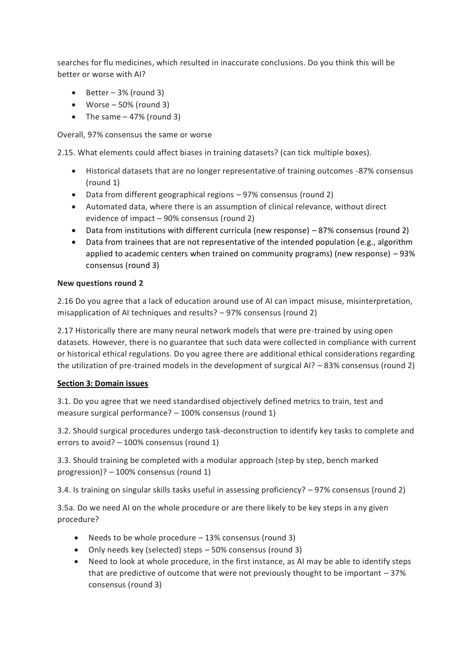searches for flu medicines, which resulted in inaccurate conclusions. Do you think this will be better or worse with AI?

- $\bullet$  Better 3% (round 3)
- Worse  $-50\%$  (round 3)
- The same  $-47%$  (round 3)

Overall, 97% consensus the same or worse

2.15. What elements could affect biases in training datasets? (can tick multiple boxes).

- Historical datasets that are no longer representative of training outcomes -87% consensus (round 1)
- Data from different geographical regions 97% consensus (round 2)
- Automated data, where there is an assumption of clinical relevance, without direct evidence of impact – 90% consensus (round 2)
- Data from institutions with different curricula (new response) 87% consensus (round 2)
- Data from trainees that are not representative of the intended population (e.g., algorithm applied to academic centers when trained on community programs) (new response) – 93% consensus (round 3)

## **New questions round 2**

2.16 Do you agree that a lack of education around use of AI can impact misuse, misinterpretation, misapplication of AI techniques and results? – 97% consensus (round 2)

2.17 Historically there are many neural network models that were pre-trained by using open datasets. However, there is no guarantee that such data were collected in compliance with current or historical ethical regulations. Do you agree there are additional ethical considerations regarding the utilization of pre-trained models in the development of surgical AI? – 83% consensus (round 2)

## **Section 3: Domain issues**

3.1. Do you agree that we need standardised objectively defined metrics to train, test and measure surgical performance? – 100% consensus (round 1)

3.2. Should surgical procedures undergo task-deconstruction to identify key tasks to complete and errors to avoid? – 100% consensus (round 1)

3.3. Should training be completed with a modular approach (step by step, bench marked progression)? – 100% consensus (round 1)

3.4. Is training on singular skills tasks useful in assessing proficiency? – 97% consensus (round 2)

3.5a. Do we need AI on the whole procedure or are there likely to be key steps in any given procedure?

- Needs to be whole procedure 13% consensus (round 3)
- Only needs key (selected) steps 50% consensus (round 3)
- Need to look at whole procedure, in the first instance, as AI may be able to identify steps that are predictive of outcome that were not previously thought to be important  $-37%$ consensus (round 3)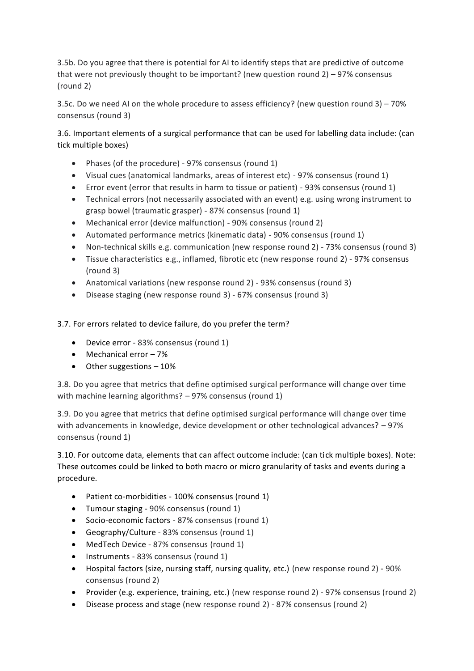3.5b. Do you agree that there is potential for AI to identify steps that are predictive of outcome that were not previously thought to be important? (new question round  $2$ ) – 97% consensus (round 2)

3.5c. Do we need AI on the whole procedure to assess efficiency? (new question round 3) – 70% consensus (round 3)

3.6. Important elements of a surgical performance that can be used for labelling data include: (can tick multiple boxes)

- Phases (of the procedure) 97% consensus (round 1)
- Visual cues (anatomical landmarks, areas of interest etc) 97% consensus (round 1)
- Error event (error that results in harm to tissue or patient) 93% consensus (round 1)
- Technical errors (not necessarily associated with an event) e.g. using wrong instrument to grasp bowel (traumatic grasper) - 87% consensus (round 1)
- Mechanical error (device malfunction) 90% consensus (round 2)
- Automated performance metrics (kinematic data) 90% consensus (round 1)
- Non-technical skills e.g. communication (new response round 2) 73% consensus (round 3)
- Tissue characteristics e.g., inflamed, fibrotic etc (new response round 2) 97% consensus (round 3)
- Anatomical variations (new response round 2) 93% consensus (round 3)
- Disease staging (new response round 3) 67% consensus (round 3)

3.7. For errors related to device failure, do you prefer the term?

- Device error 83% consensus (round 1)
- Mechanical error 7%
- Other suggestions 10%

3.8. Do you agree that metrics that define optimised surgical performance will change over time with machine learning algorithms? - 97% consensus (round 1)

3.9. Do you agree that metrics that define optimised surgical performance will change over time with advancements in knowledge, device development or other technological advances? – 97% consensus (round 1)

3.10. For outcome data, elements that can affect outcome include: (can tick multiple boxes). Note: These outcomes could be linked to both macro or micro granularity of tasks and events during a procedure.

- Patient co-morbidities 100% consensus (round 1)
- Tumour staging 90% consensus (round 1)
- Socio-economic factors 87% consensus (round 1)
- Geography/Culture 83% consensus (round 1)
- MedTech Device 87% consensus (round 1)
- Instruments 83% consensus (round 1)
- Hospital factors (size, nursing staff, nursing quality, etc.) (new response round 2) 90% consensus (round 2)
- Provider (e.g. experience, training, etc.) (new response round 2) 97% consensus (round 2)
- Disease process and stage (new response round 2) 87% consensus (round 2)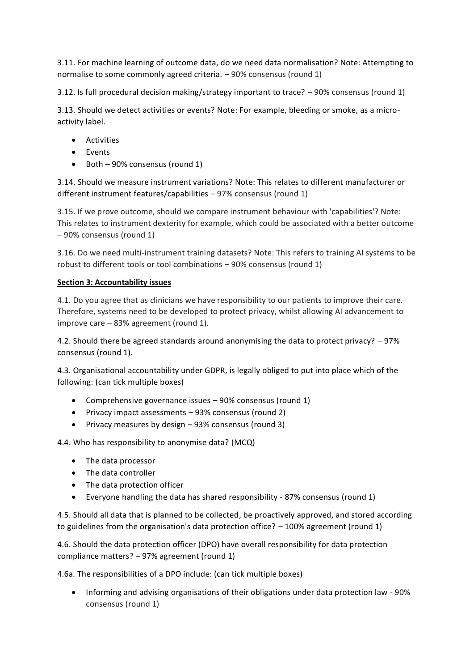3.11. For machine learning of outcome data, do we need data normalisation? Note: Attempting to normalise to some commonly agreed criteria. – 90% consensus (round 1)

3.12. Is full procedural decision making/strategy important to trace? – 90% consensus (round 1)

3.13. Should we detect activities or events? Note: For example, bleeding or smoke, as a microactivity label.

- Activities
- Events
- Both 90% consensus (round 1)

3.14. Should we measure instrument variations? Note: This relates to different manufacturer or different instrument features/capabilities – 97% consensus (round 1)

3.15. If we prove outcome, should we compare instrument behaviour with 'capabilities'? Note: This relates to instrument dexterity for example, which could be associated with a better outcome – 90% consensus (round 1)

3.16. Do we need multi-instrument training datasets? Note: This refers to training AI systems to be robust to different tools or tool combinations – 90% consensus (round 1)

### **Section 3: Accountability issues**

4.1. Do you agree that as clinicians we have responsibility to our patients to improve their care. Therefore, systems need to be developed to protect privacy, whilst allowing AI advancement to improve care – 83% agreement (round 1).

4.2. Should there be agreed standards around anonymising the data to protect privacy? – 97% consensus (round 1).

4.3. Organisational accountability under GDPR, is legally obliged to put into place which of the following: (can tick multiple boxes)

- Comprehensive governance issues 90% consensus (round 1)
- Privacy impact assessments 93% consensus (round 2)
- Privacy measures by design 93% consensus (round 3)

4.4. Who has responsibility to anonymise data? (MCQ)

- The data processor
- The data controller
- The data protection officer
- Everyone handling the data has shared responsibility 87% consensus (round 1)

4.5. Should all data that is planned to be collected, be proactively approved, and stored according to guidelines from the organisation's data protection office? – 100% agreement (round 1)

4.6. Should the data protection officer (DPO) have overall responsibility for data protection compliance matters? – 97% agreement (round 1)

4.6a. The responsibilities of a DPO include: (can tick multiple boxes)

• Informing and advising organisations of their obligations under data protection law - 90% consensus (round 1)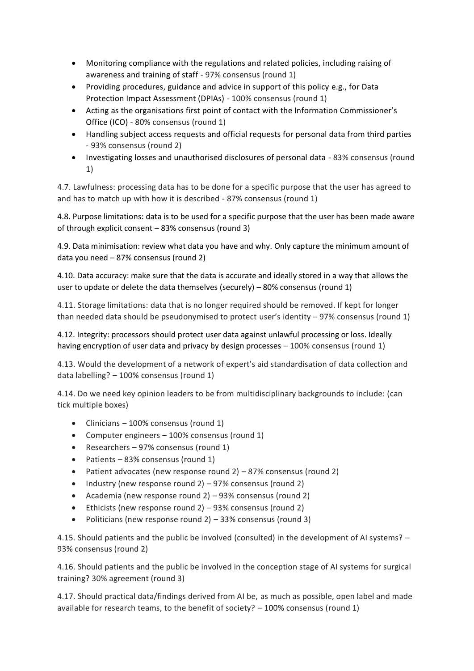- Monitoring compliance with the regulations and related policies, including raising of awareness and training of staff - 97% consensus (round 1)
- Providing procedures, guidance and advice in support of this policy e.g., for Data Protection Impact Assessment (DPIAs) - 100% consensus (round 1)
- Acting as the organisations first point of contact with the Information Commissioner's Office (ICO) - 80% consensus (round 1)
- Handling subject access requests and official requests for personal data from third parties - 93% consensus (round 2)
- Investigating losses and unauthorised disclosures of personal data 83% consensus (round 1)

4.7. Lawfulness: processing data has to be done for a specific purpose that the user has agreed to and has to match up with how it is described - 87% consensus (round 1)

4.8. Purpose limitations: data is to be used for a specific purpose that the user has been made aware of through explicit consent – 83% consensus (round 3)

4.9. Data minimisation: review what data you have and why. Only capture the minimum amount of data you need – 87% consensus (round 2)

4.10. Data accuracy: make sure that the data is accurate and ideally stored in a way that allows the user to update or delete the data themselves (securely) – 80% consensus (round 1)

4.11. Storage limitations: data that is no longer required should be removed. If kept for longer than needed data should be pseudonymised to protect user's identity – 97% consensus (round 1)

4.12. Integrity: processors should protect user data against unlawful processing or loss. Ideally having encryption of user data and privacy by design processes – 100% consensus (round 1)

4.13. Would the development of a network of expert's aid standardisation of data collection and data labelling? – 100% consensus (round 1)

4.14. Do we need key opinion leaders to be from multidisciplinary backgrounds to include: (can tick multiple boxes)

- Clinicians 100% consensus (round 1)
- Computer engineers 100% consensus (round 1)
- Researchers 97% consensus (round 1)
- Patients 83% consensus (round 1)
- Patient advocates (new response round 2) 87% consensus (round 2)
- Industry (new response round 2) 97% consensus (round 2)
- Academia (new response round 2) 93% consensus (round 2)
- Ethicists (new response round 2) 93% consensus (round 2)
- Politicians (new response round 2) 33% consensus (round 3)

4.15. Should patients and the public be involved (consulted) in the development of AI systems? – 93% consensus (round 2)

4.16. Should patients and the public be involved in the conception stage of AI systems for surgical training? 30% agreement (round 3)

4.17. Should practical data/findings derived from AI be, as much as possible, open label and made available for research teams, to the benefit of society? – 100% consensus (round 1)